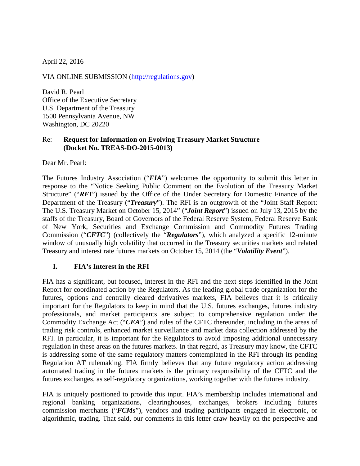April 22, 2016

VIA ONLINE SUBMISSION [\(http://regulations.gov\)](http://regulations.gov/)

David R. Pearl Office of the Executive Secretary U.S. Department of the Treasury 1500 Pennsylvania Avenue, NW Washington, DC 20220

#### Re: **Request for Information on Evolving Treasury Market Structure (Docket No. TREAS-DO-2015-0013)**

Dear Mr. Pearl:

The Futures Industry Association ("*FIA*") welcomes the opportunity to submit this letter in response to the "Notice Seeking Public Comment on the Evolution of the Treasury Market Structure" ("RFI") issued by the Office of the Under Secretary for Domestic Finance of the Department of the Treasury ("*Treasury*"). The RFI is an outgrowth of the "Joint Staff Report: The U.S. Treasury Market on October 15, 2014" ("*Joint Report*") issued on July 13, 2015 by the staffs of the Treasury, Board of Governors of the Federal Reserve System, Federal Reserve Bank of New York, Securities and Exchange Commission and Commodity Futures Trading Commission ("*CFTC*") (collectively the "*Regulators*"), which analyzed a specific 12-minute window of unusually high volatility that occurred in the Treasury securities markets and related Treasury and interest rate futures markets on October 15, 2014 (the "*Volatility Event*").

#### **I. FIA's Interest in the RFI**

FIA has a significant, but focused, interest in the RFI and the next steps identified in the Joint Report for coordinated action by the Regulators. As the leading global trade organization for the futures, options and centrally cleared derivatives markets, FIA believes that it is critically important for the Regulators to keep in mind that the U.S. futures exchanges, futures industry professionals, and market participants are subject to comprehensive regulation under the Commodity Exchange Act ("*CEA*") and rules of the CFTC thereunder, including in the areas of trading risk controls, enhanced market surveillance and market data collection addressed by the RFI. In particular, it is important for the Regulators to avoid imposing additional unnecessary regulation in these areas on the futures markets. In that regard, as Treasury may know, the CFTC is addressing some of the same regulatory matters contemplated in the RFI through its pending Regulation AT rulemaking. FIA firmly believes that any future regulatory action addressing automated trading in the futures markets is the primary responsibility of the CFTC and the futures exchanges, as self-regulatory organizations, working together with the futures industry.

FIA is uniquely positioned to provide this input. FIA's membership includes international and regional banking organizations, clearinghouses, exchanges, brokers including futures commission merchants ("*FCMs*"), vendors and trading participants engaged in electronic, or algorithmic, trading. That said, our comments in this letter draw heavily on the perspective and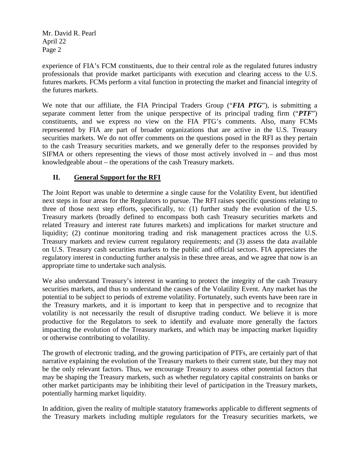experience of FIA's FCM constituents, due to their central role as the regulated futures industry professionals that provide market participants with execution and clearing access to the U.S. futures markets. FCMs perform a vital function in protecting the market and financial integrity of the futures markets.

We note that our affiliate, the FIA Principal Traders Group ("*FIA PTG*"), is submitting a separate comment letter from the unique perspective of its principal trading firm ("*PTF*") constituents, and we express no view on the FIA PTG's comments. Also, many FCMs represented by FIA are part of broader organizations that are active in the U.S. Treasury securities markets. We do not offer comments on the questions posed in the RFI as they pertain to the cash Treasury securities markets, and we generally defer to the responses provided by SIFMA or others representing the views of those most actively involved in – and thus most knowledgeable about – the operations of the cash Treasury markets.

## **II. General Support for the RFI**

The Joint Report was unable to determine a single cause for the Volatility Event, but identified next steps in four areas for the Regulators to pursue. The RFI raises specific questions relating to three of those next step efforts, specifically, to: (1) further study the evolution of the U.S. Treasury markets (broadly defined to encompass both cash Treasury securities markets and related Treasury and interest rate futures markets) and implications for market structure and liquidity; (2) continue monitoring trading and risk management practices across the U.S. Treasury markets and review current regulatory requirements; and (3) assess the data available on U.S. Treasury cash securities markets to the public and official sectors. FIA appreciates the regulatory interest in conducting further analysis in these three areas, and we agree that now is an appropriate time to undertake such analysis.

We also understand Treasury's interest in wanting to protect the integrity of the cash Treasury securities markets, and thus to understand the causes of the Volatility Event. Any market has the potential to be subject to periods of extreme volatility. Fortunately, such events have been rare in the Treasury markets, and it is important to keep that in perspective and to recognize that volatility is not necessarily the result of disruptive trading conduct. We believe it is more productive for the Regulators to seek to identify and evaluate more generally the factors impacting the evolution of the Treasury markets, and which may be impacting market liquidity or otherwise contributing to volatility.

The growth of electronic trading, and the growing participation of PTFs, are certainly part of that narrative explaining the evolution of the Treasury markets to their current state, but they may not be the only relevant factors. Thus, we encourage Treasury to assess other potential factors that may be shaping the Treasury markets, such as whether regulatory capital constraints on banks or other market participants may be inhibiting their level of participation in the Treasury markets, potentially harming market liquidity.

In addition, given the reality of multiple statutory frameworks applicable to different segments of the Treasury markets including multiple regulators for the Treasury securities markets, we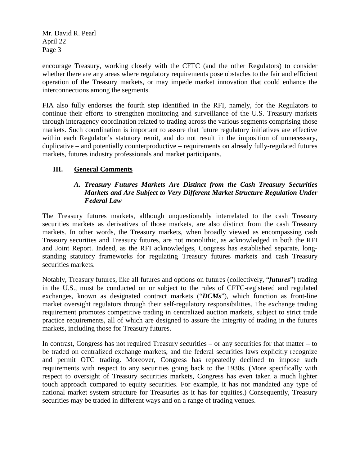encourage Treasury, working closely with the CFTC (and the other Regulators) to consider whether there are any areas where regulatory requirements pose obstacles to the fair and efficient operation of the Treasury markets, or may impede market innovation that could enhance the interconnections among the segments.

FIA also fully endorses the fourth step identified in the RFI, namely, for the Regulators to continue their efforts to strengthen monitoring and surveillance of the U.S. Treasury markets through interagency coordination related to trading across the various segments comprising those markets. Such coordination is important to assure that future regulatory initiatives are effective within each Regulator's statutory remit, and do not result in the imposition of unnecessary, duplicative – and potentially counterproductive – requirements on already fully-regulated futures markets, futures industry professionals and market participants.

### **III. General Comments**

### *A. Treasury Futures Markets Are Distinct from the Cash Treasury Securities Markets and Are Subject to Very Different Market Structure Regulation Under Federal Law*

The Treasury futures markets, although unquestionably interrelated to the cash Treasury securities markets as derivatives of those markets, are also distinct from the cash Treasury markets. In other words, the Treasury markets, when broadly viewed as encompassing cash Treasury securities and Treasury futures, are not monolithic, as acknowledged in both the RFI and Joint Report. Indeed, as the RFI acknowledges, Congress has established separate, longstanding statutory frameworks for regulating Treasury futures markets and cash Treasury securities markets.

Notably, Treasury futures, like all futures and options on futures (collectively, "*futures*") trading in the U.S., must be conducted on or subject to the rules of CFTC-registered and regulated exchanges, known as designated contract markets ("*DCMs*"), which function as front-line market oversight regulators through their self-regulatory responsibilities. The exchange trading requirement promotes competitive trading in centralized auction markets, subject to strict trade practice requirements, all of which are designed to assure the integrity of trading in the futures markets, including those for Treasury futures.

In contrast, Congress has not required Treasury securities – or any securities for that matter – to be traded on centralized exchange markets, and the federal securities laws explicitly recognize and permit OTC trading. Moreover, Congress has repeatedly declined to impose such requirements with respect to any securities going back to the 1930s. (More specifically with respect to oversight of Treasury securities markets, Congress has even taken a much lighter touch approach compared to equity securities. For example, it has not mandated any type of national market system structure for Treasuries as it has for equities.) Consequently, Treasury securities may be traded in different ways and on a range of trading venues.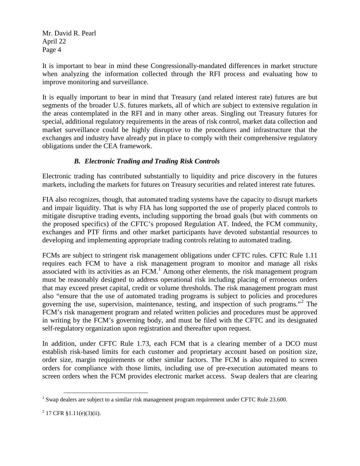It is important to bear in mind these Congressionally-mandated differences in market structure when analyzing the information collected through the RFI process and evaluating how to improve monitoring and surveillance.

It is equally important to bear in mind that Treasury (and related interest rate) futures are but segments of the broader U.S. futures markets, all of which are subject to extensive regulation in the areas contemplated in the RFI and in many other areas. Singling out Treasury futures for special, additional regulatory requirements in the areas of risk control, market data collection and market surveillance could be highly disruptive to the procedures and infrastructure that the exchanges and industry have already put in place to comply with their comprehensive regulatory obligations under the CEA framework.

# *B. Electronic Trading and Trading Risk Controls*

Electronic trading has contributed substantially to liquidity and price discovery in the futures markets, including the markets for futures on Treasury securities and related interest rate futures.

FIA also recognizes, though, that automated trading systems have the capacity to disrupt markets and impair liquidity. That is why FIA has long supported the use of properly placed controls to mitigate disruptive trading events, including supporting the broad goals (but with comments on the proposed specifics) of the CFTC's proposed Regulation AT. Indeed, the FCM community, exchanges and PTF firms and other market participants have devoted substantial resources to developing and implementing appropriate trading controls relating to automated trading.

FCMs are subject to stringent risk management obligations under CFTC rules. CFTC Rule 1.11 requires each FCM to have a risk management program to monitor and manage all risks associated with its activities as an FCM.<sup>[1](#page-3-0)</sup> Among other elements, the risk management program must be reasonably designed to address operational risk including placing of erroneous orders that may exceed preset capital, credit or volume thresholds. The risk management program must also "ensure that the use of automated trading programs is subject to policies and procedures governing the use, supervision, maintenance, testing, and inspection of such programs."[2](#page-3-1) The FCM's risk management program and related written policies and procedures must be approved in writing by the FCM's governing body, and must be filed with the CFTC and its designated self-regulatory organization upon registration and thereafter upon request.

In addition, under CFTC Rule 1.73, each FCM that is a clearing member of a DCO must establish risk-based limits for each customer and proprietary account based on position size, order size, margin requirements or other similar factors. The FCM is also required to screen orders for compliance with those limits, including use of pre-execution automated means to screen orders when the FCM provides electronic market access. Swap dealers that are clearing

<span id="page-3-0"></span> $1$  Swap dealers are subject to a similar risk management program requirement under CFTC Rule 23.600.  $\overline{a}$ 

<span id="page-3-1"></span> $2$  17 CFR §1.11(e)(3)(ii).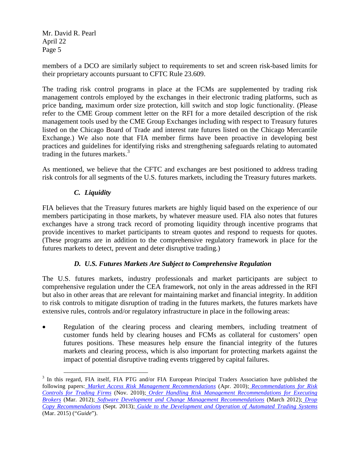members of a DCO are similarly subject to requirements to set and screen risk-based limits for their proprietary accounts pursuant to CFTC Rule 23.609.

The trading risk control programs in place at the FCMs are supplemented by trading risk management controls employed by the exchanges in their electronic trading platforms, such as price banding, maximum order size protection, kill switch and stop logic functionality. (Please refer to the CME Group comment letter on the RFI for a more detailed description of the risk management tools used by the CME Group Exchanges including with respect to Treasury futures listed on the Chicago Board of Trade and interest rate futures listed on the Chicago Mercantile Exchange.) We also note that FIA member firms have been proactive in developing best practices and guidelines for identifying risks and strengthening safeguards relating to automated trading in the futures markets.<sup>[3](#page-4-0)</sup>

As mentioned, we believe that the CFTC and exchanges are best positioned to address trading risk controls for all segments of the U.S. futures markets, including the Treasury futures markets.

# *C. Liquidity*

 $\overline{a}$ 

FIA believes that the Treasury futures markets are highly liquid based on the experience of our members participating in those markets, by whatever measure used. FIA also notes that futures exchanges have a strong track record of promoting liquidity through incentive programs that provide incentives to market participants to stream quotes and respond to requests for quotes. (These programs are in addition to the comprehensive regulatory framework in place for the futures markets to detect, prevent and deter disruptive trading.)

### *D. U.S. Futures Markets Are Subject to Comprehensive Regulation*

The U.S. futures markets, industry professionals and market participants are subject to comprehensive regulation under the CEA framework, not only in the areas addressed in the RFI but also in other areas that are relevant for maintaining market and financial integrity. In addition to risk controls to mitigate disruption of trading in the futures markets, the futures markets have extensive rules, controls and/or regulatory infrastructure in place in the following areas:

Regulation of the clearing process and clearing members, including treatment of customer funds held by clearing houses and FCMs as collateral for customers' open futures positions. These measures help ensure the financial integrity of the futures markets and clearing process, which is also important for protecting markets against the impact of potential disruptive trading events triggered by capital failures.

<span id="page-4-0"></span><sup>&</sup>lt;sup>3</sup> In this regard, FIA itself, FIA PTG and/or FIA European Principal Traders Association have published the following papers: *Market Access Risk Management Recommendations* (Apr. 2010); *Recommendations for Risk Controls for Trading Firms* (Nov. 2010); *Order Handling Risk Management Recommendations for Executing Brokers* (Mar. 2012); *Software Development and Change Management Recommendations* (March 2012); *Drop Copy Recommendations* (Sept. 2013); *Guide to the Development and Operation of Automated Trading Systems* (Mar. 2015) ("*Guide*").